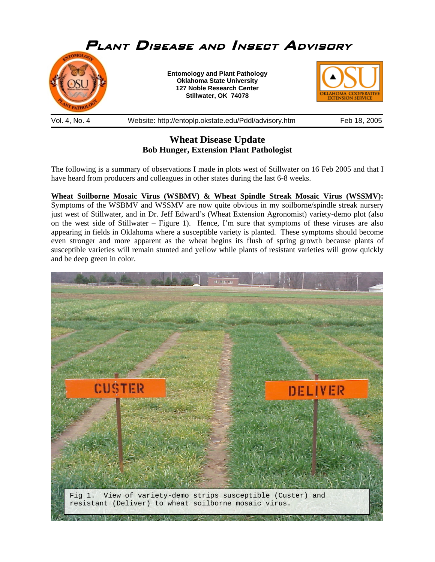

**Wheat Disease Update Bob Hunger, Extension Plant Pathologist** 

The following is a summary of observations I made in plots west of Stillwater on 16 Feb 2005 and that I have heard from producers and colleagues in other states during the last 6-8 weeks.

**Wheat Soilborne Mosaic Virus (WSBMV) & Wheat Spindle Streak Mosaic Virus (WSSMV):** Symptoms of the WSBMV and WSSMV are now quite obvious in my soilborne/spindle streak nursery just west of Stillwater, and in Dr. Jeff Edward's (Wheat Extension Agronomist) variety-demo plot (also on the west side of Stillwater – Figure 1). Hence, I'm sure that symptoms of these viruses are also appearing in fields in Oklahoma where a susceptible variety is planted. These symptoms should become even stronger and more apparent as the wheat begins its flush of spring growth because plants of susceptible varieties will remain stunted and yellow while plants of resistant varieties will grow quickly and be deep green in color.

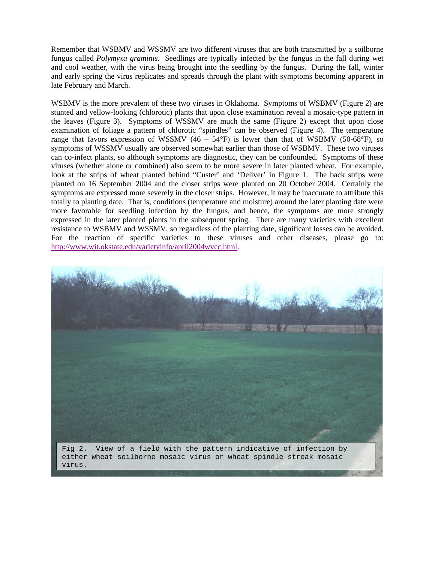Remember that WSBMV and WSSMV are two different viruses that are both transmitted by a soilborne fungus called *Polymyxa graminis*. Seedlings are typically infected by the fungus in the fall during wet and cool weather, with the virus being brought into the seedling by the fungus. During the fall, winter and early spring the virus replicates and spreads through the plant with symptoms becoming apparent in late February and March.

WSBMV is the more prevalent of these two viruses in Oklahoma. Symptoms of WSBMV (Figure 2) are stunted and yellow-looking (chlorotic) plants that upon close examination reveal a mosaic-type pattern in the leaves (Figure 3). Symptoms of WSSMV are much the same (Figure 2) except that upon close examination of foliage a pattern of chlorotic "spindles" can be observed (Figure 4). The temperature range that favors expression of WSSMV  $(46 - 54^{\circ}F)$  is lower than that of WSBMV (50-68°F), so symptoms of WSSMV usually are observed somewhat earlier than those of WSBMV. These two viruses can co-infect plants, so although symptoms are diagnostic, they can be confounded. Symptoms of these viruses (whether alone or combined) also seem to be more severe in later planted wheat. For example, look at the strips of wheat planted behind "Custer' and 'Deliver' in Figure 1. The back strips were planted on 16 September 2004 and the closer strips were planted on 20 October 2004. Certainly the symptoms are expressed more severely in the closer strips. However, it may be inaccurate to attribute this totally to planting date. That is, conditions (temperature and moisture) around the later planting date were more favorable for seedling infection by the fungus, and hence, the symptoms are more strongly expressed in the later planted plants in the subsequent spring. There are many varieties with excellent resistance to WSBMV and WSSMV, so regardless of the planting date, significant losses can be avoided. For the reaction of specific varieties to these viruses and other diseases, please go to: http://www.wit.okstate.edu/varietyinfo/april2004wvcc.htm[l.](http://www.wit.okstate.edu/varietyinfo/april2004wvcc.html) 

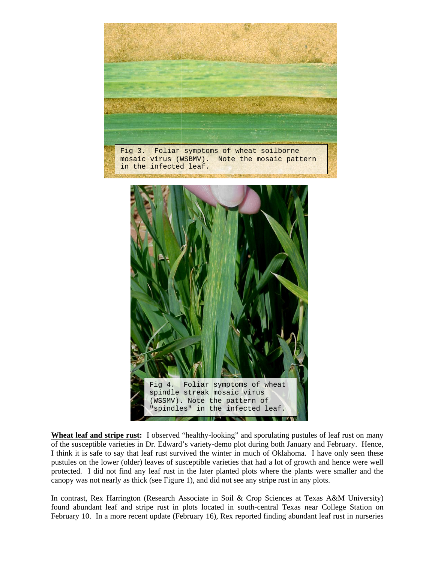



**Wheat leaf and stripe rust:** I observed "healthy-looking" and sporulating pustules of leaf rust on many of the susceptible varieties in Dr. Edward's variety-demo plot during both January and February. Hence, I think it is safe to say that leaf rust survived the winter in much of Oklahoma. I have only seen these pustules on the lower (older) leaves of susceptible varieties that had a lot of growth and hence were well protected. I did not find any leaf rust in the later planted plots where the plants were smaller and the canopy was not nearly as thick (see Figure 1), and did not see any stripe rust in any plots.

In contrast, Rex Harrington (Research Associate in Soil & Crop Sciences at Texas A&M University) found abundant leaf and stripe rust in plots located in south-central Texas near College Station on February 10. In a more recent update (February 16), Rex reported finding abundant leaf rust in nurseries